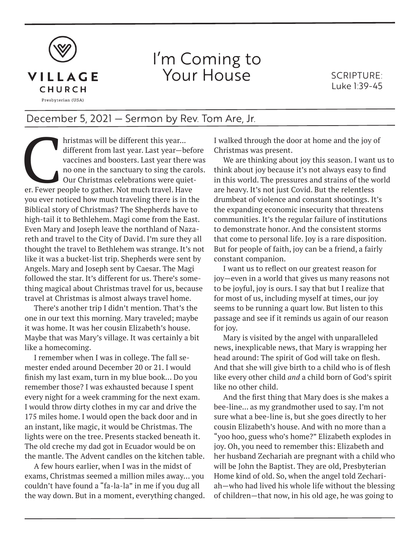

## I'm Coming to Your House

SCRIPTURE: Luke 1:39-45

## December 5, 2021 — Sermon by Rev. Tom Are, Jr.

In this will be different this year...<br>
different from last year. Last year—before vaccines and boosters. Last year there we no one in the sanctuary to sing the care<br>
Our Christmas celebrations were quiet<br>
er. Fewer people different from last year. Last year—before vaccines and boosters. Last year there was no one in the sanctuary to sing the carols. Our Christmas celebrations were quietyou ever noticed how much traveling there is in the Biblical story of Christmas? The Shepherds have to high-tail it to Bethlehem. Magi come from the East. Even Mary and Joseph leave the northland of Nazareth and travel to the City of David. I'm sure they all thought the travel to Bethlehem was strange. It's not like it was a bucket-list trip. Shepherds were sent by Angels. Mary and Joseph sent by Caesar. The Magi followed the star. It's different for us. There's something magical about Christmas travel for us, because travel at Christmas is almost always travel home.

There's another trip I didn't mention. That's the one in our text this morning. Mary traveled; maybe it was home. It was her cousin Elizabeth's house. Maybe that was Mary's village. It was certainly a bit like a homecoming.

I remember when I was in college. The fall semester ended around December 20 or 21. I would finish my last exam, turn in my blue book… Do you remember those? I was exhausted because I spent every night for a week cramming for the next exam. I would throw dirty clothes in my car and drive the 175 miles home. I would open the back door and in an instant, like magic, it would be Christmas. The lights were on the tree. Presents stacked beneath it. The old creche my dad got in Ecuador would be on the mantle. The Advent candles on the kitchen table.

A few hours earlier, when I was in the midst of exams, Christmas seemed a million miles away… you couldn't have found a "fa-la-la" in me if you dug all the way down. But in a moment, everything changed. I walked through the door at home and the joy of Christmas was present.

We are thinking about joy this season. I want us to think about joy because it's not always easy to find in this world. The pressures and strains of the world are heavy. It's not just Covid. But the relentless drumbeat of violence and constant shootings. It's the expanding economic insecurity that threatens communities. It's the regular failure of institutions to demonstrate honor. And the consistent storms that come to personal life. Joy is a rare disposition. But for people of faith, joy can be a friend, a fairly constant companion.

I want us to reflect on our greatest reason for joy—even in a world that gives us many reasons not to be joyful, joy is ours. I say that but I realize that for most of us, including myself at times, our joy seems to be running a quart low. But listen to this passage and see if it reminds us again of our reason for joy.

Mary is visited by the angel with unparalleled news, inexplicable news, that Mary is wrapping her head around: The spirit of God will take on flesh. And that she will give birth to a child who is of flesh like every other child *and* a child born of God's spirit like no other child.

And the first thing that Mary does is she makes a bee-line... as my grandmother used to say. I'm not sure what a bee-line is, but she goes directly to her cousin Elizabeth's house. And with no more than a "yoo hoo, guess who's home?" Elizabeth explodes in joy. Oh, you need to remember this: Elizabeth and her husband Zechariah are pregnant with a child who will be John the Baptist. They are old, Presbyterian Home kind of old. So, when the angel told Zechariah—who had lived his whole life without the blessing of children—that now, in his old age, he was going to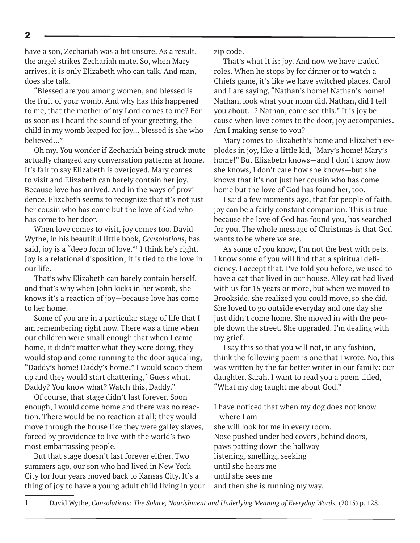have a son, Zechariah was a bit unsure. As a result, the angel strikes Zechariah mute. So, when Mary arrives, it is only Elizabeth who can talk. And man, does she talk.

"Blessed are you among women, and blessed is the fruit of your womb. And why has this happened to me, that the mother of my Lord comes to me? For as soon as I heard the sound of your greeting, the child in my womb leaped for joy… blessed is she who believed…"

Oh my. You wonder if Zechariah being struck mute actually changed any conversation patterns at home. It's fair to say Elizabeth is overjoyed. Mary comes to visit and Elizabeth can barely contain her joy. Because love has arrived. And in the ways of providence, Elizabeth seems to recognize that it's not just her cousin who has come but the love of God who has come to her door.

When love comes to visit, joy comes too. David Wythe, in his beautiful little book, *Consolations*, has said, joy is a "deep form of love."1 I think he's right. Joy is a relational disposition; it is tied to the love in our life.

That's why Elizabeth can barely contain herself, and that's why when John kicks in her womb, she knows it's a reaction of joy—because love has come to her home.

Some of you are in a particular stage of life that I am remembering right now. There was a time when our children were small enough that when I came home, it didn't matter what they were doing, they would stop and come running to the door squealing, "Daddy's home! Daddy's home!" I would scoop them up and they would start chattering, "Guess what, Daddy? You know what? Watch this, Daddy."

Of course, that stage didn't last forever. Soon enough, I would come home and there was no reaction. There would be no reaction at all; they would move through the house like they were galley slaves, forced by providence to live with the world's two most embarrassing people.

But that stage doesn't last forever either. Two summers ago, our son who had lived in New York City for four years moved back to Kansas City. It's a thing of joy to have a young adult child living in your zip code.

That's what it is: joy. And now we have traded roles. When he stops by for dinner or to watch a Chiefs game, it's like we have switched places. Carol and I are saying, "Nathan's home! Nathan's home! Nathan, look what your mom did. Nathan, did I tell you about...? Nathan, come see this." It is joy because when love comes to the door, joy accompanies. Am I making sense to you?

Mary comes to Elizabeth's home and Elizabeth explodes in joy, like a little kid, "Mary's home! Mary's home!" But Elizabeth knows—and I don't know how she knows, I don't care how she knows—but she knows that it's not just her cousin who has come home but the love of God has found her, too.

I said a few moments ago, that for people of faith, joy can be a fairly constant companion. This is true because the love of God has found you, has searched for you. The whole message of Christmas is that God wants to be where we are.

As some of you know, I'm not the best with pets. I know some of you will find that a spiritual deficiency. I accept that. I've told you before, we used to have a cat that lived in our house. Alley cat had lived with us for 15 years or more, but when we moved to Brookside, she realized you could move, so she did. She loved to go outside everyday and one day she just didn't come home. She moved in with the people down the street. She upgraded. I'm dealing with my grief.

I say this so that you will not, in any fashion, think the following poem is one that I wrote. No, this was written by the far better writer in our family: our daughter, Sarah. I want to read you a poem titled, "What my dog taught me about God."

I have noticed that when my dog does not know where I am she will look for me in every room. Nose pushed under bed covers, behind doors, paws patting down the hallway listening, smelling, seeking until she hears me until she sees me and then she is running my way.

2